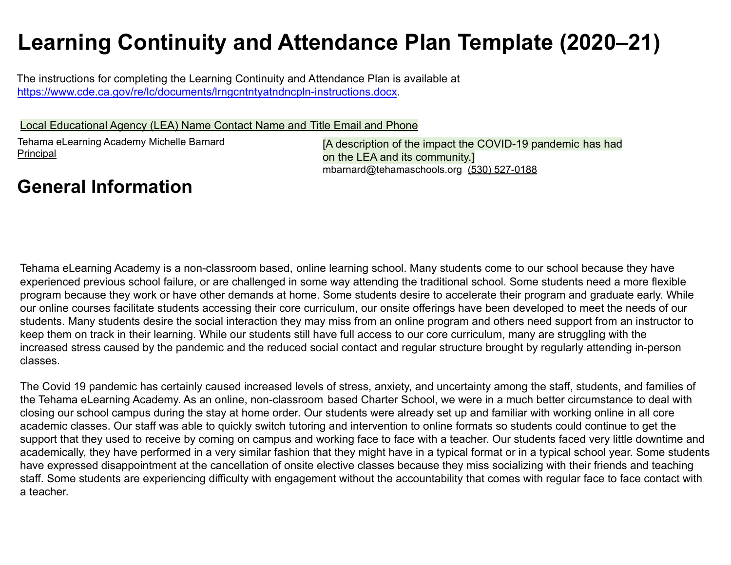# **Learning Continuity and Attendance Plan Template (2020–21)**

The instructions for completing the Learning Continuity and Attendance Plan is available at https://www.cde.ca.gov/re/lc/documents/lrngcntntyatndncpln-instructions.docx.

Local Educational Agency (LEA) Name Contact Name and Title Email and Phone

Tehama eLearning Academy Michelle Barnard Principal

[A description of the impact the COVID-19 pandemic has had on the LEA and its community.] mbarnard@tehamaschools.org (530) 527-0188

## **General Information**

Tehama eLearning Academy is a non-classroom based, online learning school. Many students come to our school because they have experienced previous school failure, or are challenged in some way attending the traditional school. Some students need a more flexible program because they work or have other demands at home. Some students desire to accelerate their program and graduate early. While our online courses facilitate students accessing their core curriculum, our onsite offerings have been developed to meet the needs of our students. Many students desire the social interaction they may miss from an online program and others need support from an instructor to keep them on track in their learning. While our students still have full access to our core curriculum, many are struggling with the increased stress caused by the pandemic and the reduced social contact and regular structure brought by regularly attending in-person classes.

The Covid 19 pandemic has certainly caused increased levels of stress, anxiety, and uncertainty among the staff, students, and families of the Tehama eLearning Academy. As an online, non-classroom based Charter School, we were in a much better circumstance to deal with closing our school campus during the stay at home order. Our students were already set up and familiar with working online in all core academic classes. Our staff was able to quickly switch tutoring and intervention to online formats so students could continue to get the support that they used to receive by coming on campus and working face to face with a teacher. Our students faced very little downtime and academically, they have performed in a very similar fashion that they might have in a typical format or in a typical school year. Some students have expressed disappointment at the cancellation of onsite elective classes because they miss socializing with their friends and teaching staff. Some students are experiencing difficulty with engagement without the accountability that comes with regular face to face contact with a teacher.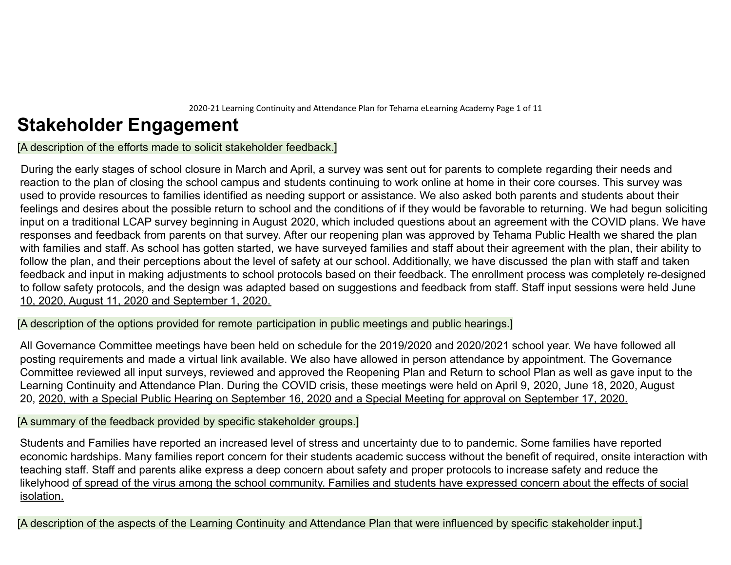2020-21 Learning Continuity and Attendance Plan for Tehama eLearning Academy Page 1 of 11

## **Stakeholder Engagement**

[A description of the efforts made to solicit stakeholder feedback.]

During the early stages of school closure in March and April, a survey was sent out for parents to complete regarding their needs and reaction to the plan of closing the school campus and students continuing to work online at home in their core courses. This survey was used to provide resources to families identified as needing support or assistance. We also asked both parents and students about their feelings and desires about the possible return to school and the conditions of if they would be favorable to returning. We had begun soliciting input on a traditional LCAP survey beginning in August 2020, which included questions about an agreement with the COVID plans. We have responses and feedback from parents on that survey. After our reopening plan was approved by Tehama Public Health we shared the plan with families and staff. As school has gotten started, we have surveyed families and staff about their agreement with the plan, their ability to follow the plan, and their perceptions about the level of safety at our school. Additionally, we have discussed the plan with staff and taken feedback and input in making adjustments to school protocols based on their feedback. The enrollment process was completely re-designed to follow safety protocols, and the design was adapted based on suggestions and feedback from staff. Staff input sessions were held June 10, 2020, August 11, 2020 and September 1, 2020.

[A description of the options provided for remote participation in public meetings and public hearings.]

All Governance Committee meetings have been held on schedule for the 2019/2020 and 2020/2021 school year. We have followed all posting requirements and made a virtual link available. We also have allowed in person attendance by appointment. The Governance Committee reviewed all input surveys, reviewed and approved the Reopening Plan and Return to school Plan as well as gave input to the Learning Continuity and Attendance Plan. During the COVID crisis, these meetings were held on April 9, 2020, June 18, 2020, August 20, 2020, with a Special Public Hearing on September 16, 2020 and a Special Meeting for approval on September 17, 2020.

[A summary of the feedback provided by specific stakeholder groups.]

Students and Families have reported an increased level of stress and uncertainty due to to pandemic. Some families have reported economic hardships. Many families report concern for their students academic success without the benefit of required, onsite interaction with teaching staff. Staff and parents alike express a deep concern about safety and proper protocols to increase safety and reduce the likelyhood of spread of the virus among the school community. Families and students have expressed concern about the effects of social isolation.

[A description of the aspects of the Learning Continuity and Attendance Plan that were influenced by specific stakeholder input.]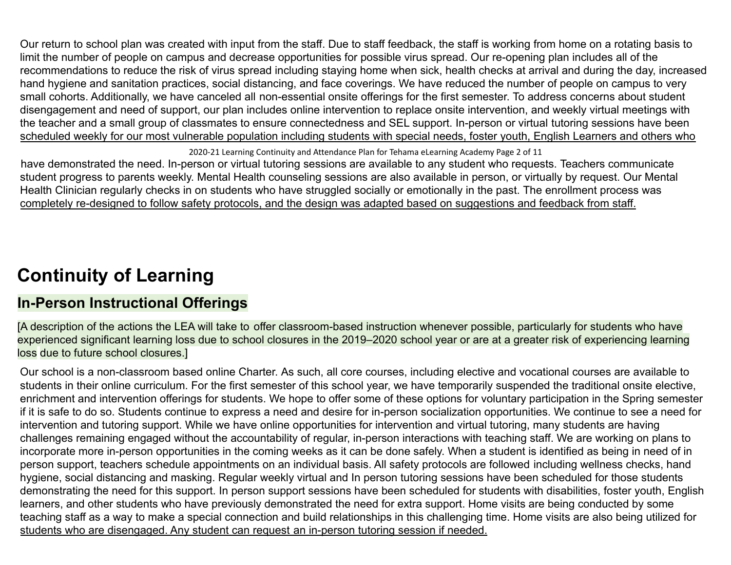Our return to school plan was created with input from the staff. Due to staff feedback, the staff is working from home on a rotating basis to limit the number of people on campus and decrease opportunities for possible virus spread. Our re-opening plan includes all of the recommendations to reduce the risk of virus spread including staying home when sick, health checks at arrival and during the day, increased hand hygiene and sanitation practices, social distancing, and face coverings. We have reduced the number of people on campus to very small cohorts. Additionally, we have canceled all non-essential onsite offerings for the first semester. To address concerns about student disengagement and need of support, our plan includes online intervention to replace onsite intervention, and weekly virtual meetings with the teacher and a small group of classmates to ensure connectedness and SEL support. In-person or virtual tutoring sessions have been scheduled weekly for our most vulnerable population including students with special needs, foster youth, English Learners and others who

2020-21 Learning Continuity and Attendance Plan for Tehama eLearning Academy Page 2 of 11

have demonstrated the need. In-person or virtual tutoring sessions are available to any student who requests. Teachers communicate student progress to parents weekly. Mental Health counseling sessions are also available in person, or virtually by request. Our Mental Health Clinician regularly checks in on students who have struggled socially or emotionally in the past. The enrollment process was completely re-designed to follow safety protocols, and the design was adapted based on suggestions and feedback from staff.

## **Continuity of Learning**

## **In-Person Instructional Offerings**

[A description of the actions the LEA will take to offer classroom-based instruction whenever possible, particularly for students who have experienced significant learning loss due to school closures in the 2019–2020 school year or are at a greater risk of experiencing learning loss due to future school closures.]

Our school is a non-classroom based online Charter. As such, all core courses, including elective and vocational courses are available to students in their online curriculum. For the first semester of this school year, we have temporarily suspended the traditional onsite elective, enrichment and intervention offerings for students. We hope to offer some of these options for voluntary participation in the Spring semester if it is safe to do so. Students continue to express a need and desire for in-person socialization opportunities. We continue to see a need for intervention and tutoring support. While we have online opportunities for intervention and virtual tutoring, many students are having challenges remaining engaged without the accountability of regular, in-person interactions with teaching staff. We are working on plans to incorporate more in-person opportunities in the coming weeks as it can be done safely. When a student is identified as being in need of in person support, teachers schedule appointments on an individual basis. All safety protocols are followed including wellness checks, hand hygiene, social distancing and masking. Regular weekly virtual and In person tutoring sessions have been scheduled for those students demonstrating the need for this support. In person support sessions have been scheduled for students with disabilities, foster youth, English learners, and other students who have previously demonstrated the need for extra support. Home visits are being conducted by some teaching staff as a way to make a special connection and build relationships in this challenging time. Home visits are also being utilized for students who are disengaged. Any student can request an in-person tutoring session if needed.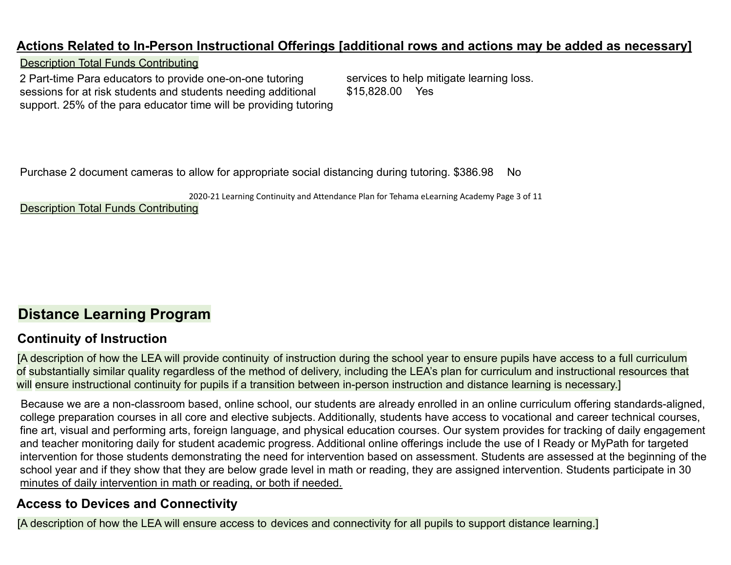### **Actions Related to In-Person Instructional Offerings [additional rows and actions may be added as necessary]**

#### Description Total Funds Contributing

2 Part-time Para educators to provide one-on-one tutoring sessions for at risk students and students needing additional support. 25% of the para educator time will be providing tutoring services to help mitigate learning loss. \$15,828.00 Yes

Purchase 2 document cameras to allow for appropriate social distancing during tutoring. \$386.98 No

2020-21 Learning Continuity and Attendance Plan for Tehama eLearning Academy Page 3 of 11

Description Total Funds Contributing

## **Distance Learning Program**

## **Continuity of Instruction**

[A description of how the LEA will provide continuity of instruction during the school year to ensure pupils have access to a full curriculum of substantially similar quality regardless of the method of delivery, including the LEA's plan for curriculum and instructional resources that will ensure instructional continuity for pupils if a transition between in-person instruction and distance learning is necessary.]

Because we are a non-classroom based, online school, our students are already enrolled in an online curriculum offering standards-aligned, college preparation courses in all core and elective subjects. Additionally, students have access to vocational and career technical courses, fine art, visual and performing arts, foreign language, and physical education courses. Our system provides for tracking of daily engagement and teacher monitoring daily for student academic progress. Additional online offerings include the use of I Ready or MyPath for targeted intervention for those students demonstrating the need for intervention based on assessment. Students are assessed at the beginning of the school year and if they show that they are below grade level in math or reading, they are assigned intervention. Students participate in 30 minutes of daily intervention in math or reading, or both if needed.

## **Access to Devices and Connectivity**

[A description of how the LEA will ensure access to devices and connectivity for all pupils to support distance learning.]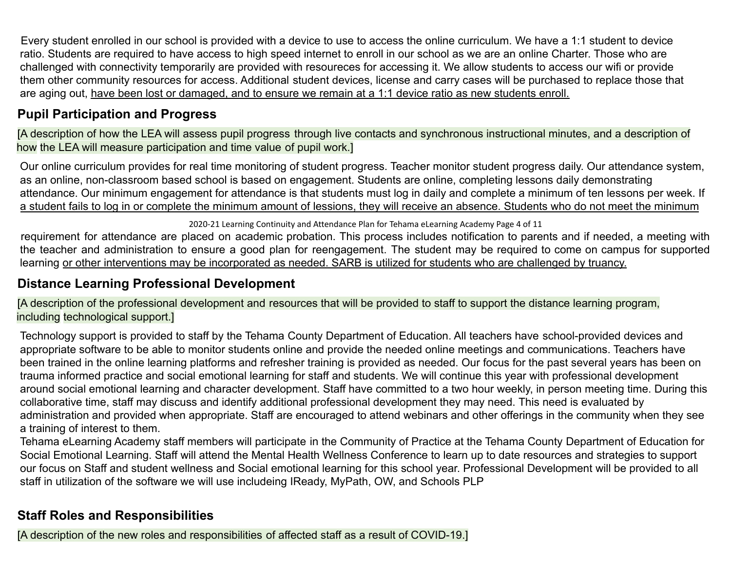Every student enrolled in our school is provided with a device to use to access the online curriculum. We have a 1:1 student to device ratio. Students are required to have access to high speed internet to enroll in our school as we are an online Charter. Those who are challenged with connectivity temporarily are provided with resoureces for accessing it. We allow students to access our wifi or provide them other community resources for access. Additional student devices, license and carry cases will be purchased to replace those that are aging out, have been lost or damaged, and to ensure we remain at a 1:1 device ratio as new students enroll.

## **Pupil Participation and Progress**

[A description of how the LEA will assess pupil progress through live contacts and synchronous instructional minutes, and a description of how the LEA will measure participation and time value of pupil work.]

Our online curriculum provides for real time monitoring of student progress. Teacher monitor student progress daily. Our attendance system, as an online, non-classroom based school is based on engagement. Students are online, completing lessons daily demonstrating attendance. Our minimum engagement for attendance is that students must log in daily and complete a minimum of ten lessons per week. If a student fails to log in or complete the minimum amount of lessions, they will receive an absence. Students who do not meet the minimum

2020-21 Learning Continuity and Attendance Plan for Tehama eLearning Academy Page 4 of 11

requirement for attendance are placed on academic probation. This process includes notification to parents and if needed, a meeting with the teacher and administration to ensure a good plan for reengagement. The student may be required to come on campus for supported learning or other interventions may be incorporated as needed. SARB is utilized for students who are challenged by truancy.

## **Distance Learning Professional Development**

[A description of the professional development and resources that will be provided to staff to support the distance learning program, including technological support.]

Technology support is provided to staff by the Tehama County Department of Education. All teachers have school-provided devices and appropriate software to be able to monitor students online and provide the needed online meetings and communications. Teachers have been trained in the online learning platforms and refresher training is provided as needed. Our focus for the past several years has been on trauma informed practice and social emotional learning for staff and students. We will continue this year with professional development around social emotional learning and character development. Staff have committed to a two hour weekly, in person meeting time. During this collaborative time, staff may discuss and identify additional professional development they may need. This need is evaluated by administration and provided when appropriate. Staff are encouraged to attend webinars and other offerings in the community when they see a training of interest to them.

Tehama eLearning Academy staff members will participate in the Community of Practice at the Tehama County Department of Education for Social Emotional Learning. Staff will attend the Mental Health Wellness Conference to learn up to date resources and strategies to support our focus on Staff and student wellness and Social emotional learning for this school year. Professional Development will be provided to all staff in utilization of the software we will use includeing IReady, MyPath, OW, and Schools PLP

## **Staff Roles and Responsibilities**

[A description of the new roles and responsibilities of affected staff as a result of COVID-19.]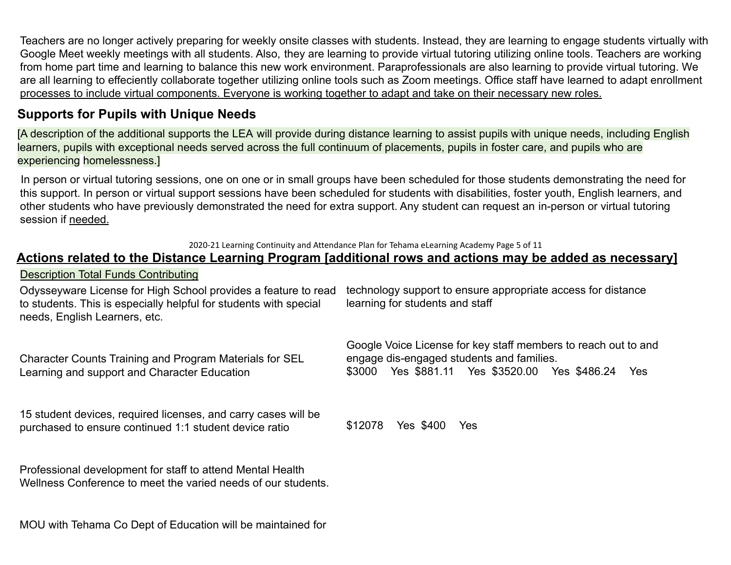Teachers are no longer actively preparing for weekly onsite classes with students. Instead, they are learning to engage students virtually with Google Meet weekly meetings with all students. Also, they are learning to provide virtual tutoring utilizing online tools. Teachers are working from home part time and learning to balance this new work environment. Paraprofessionals are also learning to provide virtual tutoring. We are all learning to effeciently collaborate together utilizing online tools such as Zoom meetings. Office staff have learned to adapt enrollment processes to include virtual components. Everyone is working together to adapt and take on their necessary new roles.

### **Supports for Pupils with Unique Needs**

[A description of the additional supports the LEA will provide during distance learning to assist pupils with unique needs, including English learners, pupils with exceptional needs served across the full continuum of placements, pupils in foster care, and pupils who are experiencing homelessness.]

In person or virtual tutoring sessions, one on one or in small groups have been scheduled for those students demonstrating the need for this support. In person or virtual support sessions have been scheduled for students with disabilities, foster youth, English learners, and other students who have previously demonstrated the need for extra support. Any student can request an in-person or virtual tutoring session if needed.

2020-21 Learning Continuity and Attendance Plan for Tehama eLearning Academy Page 5 of 11

#### **Actions related to the Distance Learning Program [additional rows and actions may be added as necessary]**

#### Description Total Funds Contributing

Odysseyware License for High School provides a feature to read to students. This is especially helpful for students with special needs, English Learners, etc. technology support to ensure appropriate access for distance learning for students and staff

Character Counts Training and Program Materials for SEL Learning and support and Character Education

15 student devices, required licenses, and carry cases will be purchased to ensure continued 1:1 student device ratio

Google Voice License for key staff members to reach out to and engage dis-engaged students and families. \$3000 Yes \$881.11 Yes \$3520.00 Yes \$486.24 Yes

\$12078 Yes \$400 Yes

Professional development for staff to attend Mental Health Wellness Conference to meet the varied needs of our students.

MOU with Tehama Co Dept of Education will be maintained for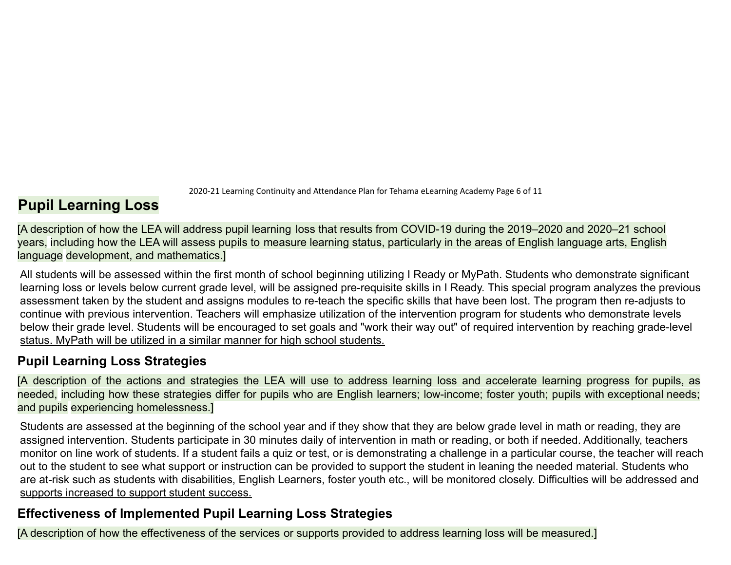2020-21 Learning Continuity and Attendance Plan for Tehama eLearning Academy Page 6 of 11

## **Pupil Learning Loss**

[A description of how the LEA will address pupil learning loss that results from COVID-19 during the 2019–2020 and 2020–21 school years, including how the LEA will assess pupils to measure learning status, particularly in the areas of English language arts, English language development, and mathematics.]

All students will be assessed within the first month of school beginning utilizing I Ready or MyPath. Students who demonstrate significant learning loss or levels below current grade level, will be assigned pre-requisite skills in I Ready. This special program analyzes the previous assessment taken by the student and assigns modules to re-teach the specific skills that have been lost. The program then re-adjusts to continue with previous intervention. Teachers will emphasize utilization of the intervention program for students who demonstrate levels below their grade level. Students will be encouraged to set goals and "work their way out" of required intervention by reaching grade-level status. MyPath will be utilized in a similar manner for high school students.

### **Pupil Learning Loss Strategies**

[A description of the actions and strategies the LEA will use to address learning loss and accelerate learning progress for pupils, as needed, including how these strategies differ for pupils who are English learners; low-income; foster youth; pupils with exceptional needs; and pupils experiencing homelessness.]

Students are assessed at the beginning of the school year and if they show that they are below grade level in math or reading, they are assigned intervention. Students participate in 30 minutes daily of intervention in math or reading, or both if needed. Additionally, teachers monitor on line work of students. If a student fails a quiz or test, or is demonstrating a challenge in a particular course, the teacher will reach out to the student to see what support or instruction can be provided to support the student in leaning the needed material. Students who are at-risk such as students with disabilities, English Learners, foster youth etc., will be monitored closely. Difficulties will be addressed and supports increased to support student success.

## **Effectiveness of Implemented Pupil Learning Loss Strategies**

[A description of how the effectiveness of the services or supports provided to address learning loss will be measured.]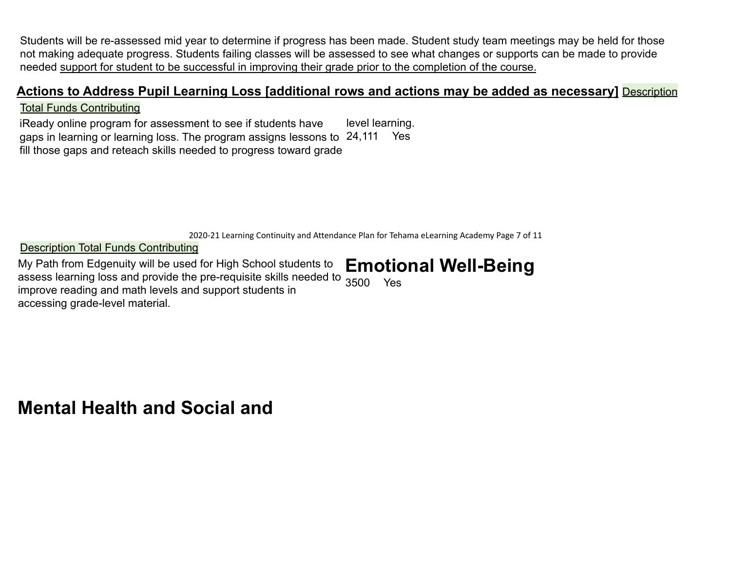Students will be re-assessed mid year to determine if progress has been made. Student study team meetings may be held for those not making adequate progress. Students failing classes will be assessed to see what changes or supports can be made to provide needed support for student to be successful in improving their grade prior to the completion of the course.

### **Actions to Address Pupil Learning Loss [additional rows and actions may be added as necessary]** Description

#### Total Funds Contributing

iReady online program for assessment to see if students have gaps in learning or learning loss. The program assigns lessons to 24,111 Yes fill those gaps and reteach skills needed to progress toward grade level learning.

2020-21 Learning Continuity and Attendance Plan for Tehama eLearning Academy Page 7 of 11

Description Total Funds Contributing

My Path from Edgenuity will be used for High School students to assess learning loss and provide the pre-requisite skills needed to  $\frac{1}{3500}$  Yes improve reading and math levels and support students in accessing grade-level material. **Emotional Well-Being**

**Mental Health and Social and**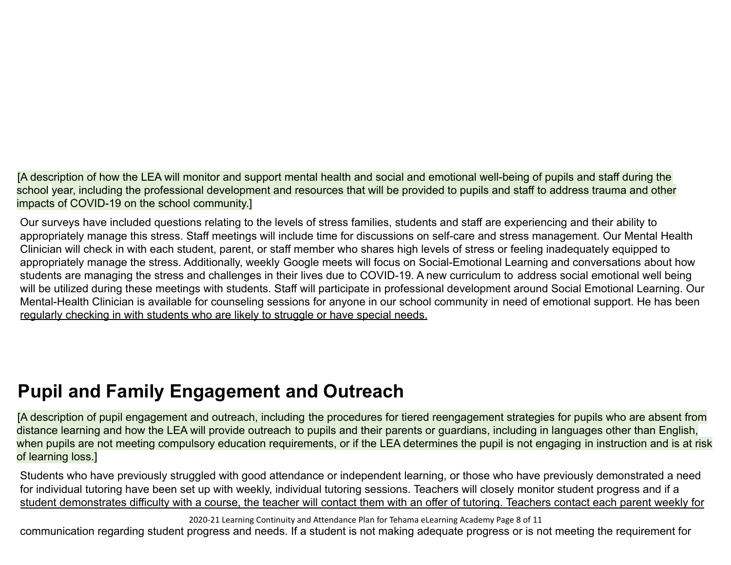[A description of how the LEA will monitor and support mental health and social and emotional well-being of pupils and staff during the school year, including the professional development and resources that will be provided to pupils and staff to address trauma and other impacts of COVID-19 on the school community.]

Our surveys have included questions relating to the levels of stress families, students and staff are experiencing and their ability to appropriately manage this stress. Staff meetings will include time for discussions on self-care and stress management. Our Mental Health Clinician will check in with each student, parent, or staff member who shares high levels of stress or feeling inadequately equipped to appropriately manage the stress. Additionally, weekly Google meets will focus on Social-Emotional Learning and conversations about how students are managing the stress and challenges in their lives due to COVID-19. A new curriculum to address social emotional well being will be utilized during these meetings with students. Staff will participate in professional development around Social Emotional Learning. Our Mental-Health Clinician is available for counseling sessions for anyone in our school community in need of emotional support. He has been regularly checking in with students who are likely to struggle or have special needs.

## **Pupil and Family Engagement and Outreach**

[A description of pupil engagement and outreach, including the procedures for tiered reengagement strategies for pupils who are absent from distance learning and how the LEA will provide outreach to pupils and their parents or guardians, including in languages other than English, when pupils are not meeting compulsory education requirements, or if the LEA determines the pupil is not engaging in instruction and is at risk of learning loss.]

Students who have previously struggled with good attendance or independent learning, or those who have previously demonstrated a need for individual tutoring have been set up with weekly, individual tutoring sessions. Teachers will closely monitor student progress and if a student demonstrates difficulty with a course, the teacher will contact them with an offer of tutoring. Teachers contact each parent weekly for

2020-21 Learning Continuity and Attendance Plan for Tehama eLearning Academy Page 8 of 11

communication regarding student progress and needs. If a student is not making adequate progress or is not meeting the requirement for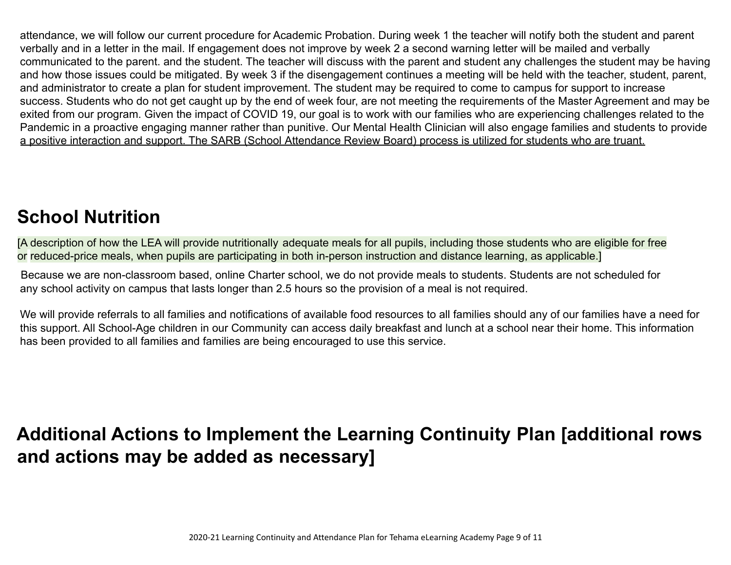attendance, we will follow our current procedure for Academic Probation. During week 1 the teacher will notify both the student and parent verbally and in a letter in the mail. If engagement does not improve by week 2 a second warning letter will be mailed and verbally communicated to the parent. and the student. The teacher will discuss with the parent and student any challenges the student may be having and how those issues could be mitigated. By week 3 if the disengagement continues a meeting will be held with the teacher, student, parent, and administrator to create a plan for student improvement. The student may be required to come to campus for support to increase success. Students who do not get caught up by the end of week four, are not meeting the requirements of the Master Agreement and may be exited from our program. Given the impact of COVID 19, our goal is to work with our families who are experiencing challenges related to the Pandemic in a proactive engaging manner rather than punitive. Our Mental Health Clinician will also engage families and students to provide a positive interaction and support. The SARB (School Attendance Review Board) process is utilized for students who are truant.

## **School Nutrition**

[A description of how the LEA will provide nutritionally adequate meals for all pupils, including those students who are eligible for free or reduced-price meals, when pupils are participating in both in-person instruction and distance learning, as applicable.]

Because we are non-classroom based, online Charter school, we do not provide meals to students. Students are not scheduled for any school activity on campus that lasts longer than 2.5 hours so the provision of a meal is not required.

We will provide referrals to all families and notifications of available food resources to all families should any of our families have a need for this support. All School-Age children in our Community can access daily breakfast and lunch at a school near their home. This information has been provided to all families and families are being encouraged to use this service.

## **Additional Actions to Implement the Learning Continuity Plan [additional rows and actions may be added as necessary]**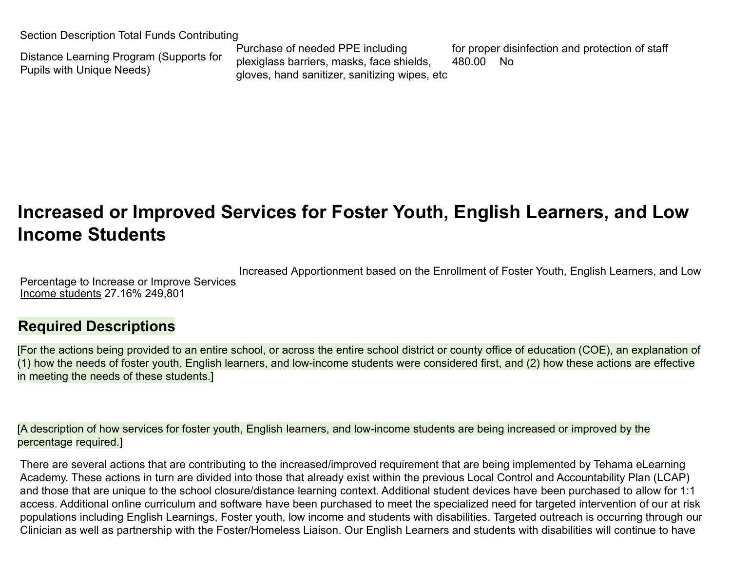Section Description Total Funds Contributing

Distance Learning Program (Supports for Pupils with Unique Needs)

Purchase of needed PPE including plexiglass barriers, masks, face shields, gloves, hand sanitizer, sanitizing wipes, etc

for proper disinfection and protection of staff 480.00 No

## **Increased or Improved Services for Foster Youth, English Learners, and Low Income Students**

Percentage to Increase or Improve Services Increased Apportionment based on the Enrollment of Foster Youth, English Learners, and Low Income students 27.16% 249,801

## **Required Descriptions**

[For the actions being provided to an entire school, or across the entire school district or county office of education (COE), an explanation of (1) how the needs of foster youth, English learners, and low-income students were considered first, and (2) how these actions are effective in meeting the needs of these students.]

[A description of how services for foster youth, English learners, and low-income students are being increased or improved by the percentage required.]

There are several actions that are contributing to the increased/improved requirement that are being implemented by Tehama eLearning Academy. These actions in turn are divided into those that already exist within the previous Local Control and Accountability Plan (LCAP) and those that are unique to the school closure/distance learning context. Additional student devices have been purchased to allow for 1:1 access. Additional online curriculum and software have been purchased to meet the specialized need for targeted intervention of our at risk populations including English Learnings, Foster youth, low income and students with disabilities. Targeted outreach is occurring through our Clinician as well as partnership with the Foster/Homeless Liaison. Our English Learners and students with disabilities will continue to have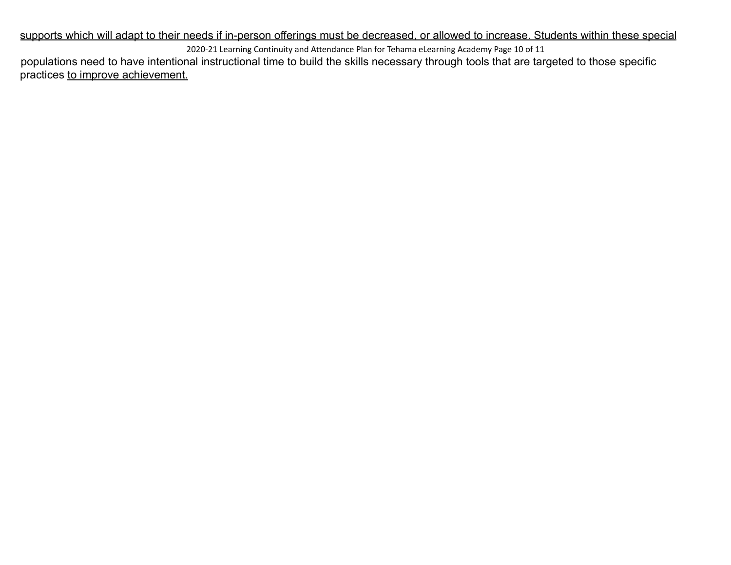supports which will adapt to their needs if in-person offerings must be decreased, or allowed to increase. Students within these special 2020-21 Learning Continuity and Attendance Plan for Tehama eLearning Academy Page 10 of 11

populations need to have intentional instructional time to build the skills necessary through tools that are targeted to those specific practices to improve achievement.